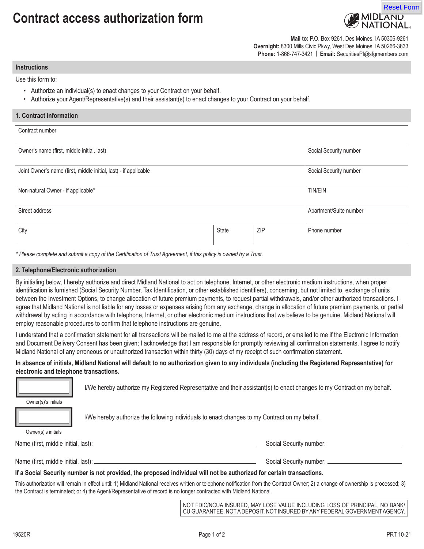# **Contract access authorization form**



**Mail to:** P.O. Box 9261, Des Moines, IA 50306-9261 **Overnight:** 8300 Mills Civic Pkwy, West Des Moines, IA 50266-3833 **Phone:** 1-866-747-3421 | **Email:** SecuritiesPI@sfgmembers.com

#### **Instructions**

Use this form to:

- Authorize an individual(s) to enact changes to your Contract on your behalf.
- Authorize your Agent/Representative(s) and their assistant(s) to enact changes to your Contract on your behalf.

| 1. Contract information                                          |       |     |                        |  |
|------------------------------------------------------------------|-------|-----|------------------------|--|
| Contract number                                                  |       |     |                        |  |
| Owner's name (first, middle initial, last)                       |       |     | Social Security number |  |
| Joint Owner's name (first, middle initial, last) - if applicable |       |     | Social Security number |  |
| Non-natural Owner - if applicable*                               |       |     | <b>TIN/EIN</b>         |  |
| Street address                                                   |       |     | Apartment/Suite number |  |
| City                                                             | State | ZIP | Phone number           |  |
|                                                                  |       |     |                        |  |

*\* Please complete and submit a copy of the Certification of Trust Agreement, if this policy is owned by a Trust.*

## **2. Telephone/Electronic authorization**

By initialing below, I hereby authorize and direct Midland National to act on telephone, Internet, or other electronic medium instructions, when proper identification is furnished (Social Security Number, Tax Identification, or other established identifiers), concerning, but not limited to, exchange of units between the Investment Options, to change allocation of future premium payments, to request partial withdrawals, and/or other authorized transactions. I agree that Midland National is not liable for any losses or expenses arising from any exchange, change in allocation of future premium payments, or partial withdrawal by acting in accordance with telephone, Internet, or other electronic medium instructions that we believe to be genuine. Midland National will employ reasonable procedures to confirm that telephone instructions are genuine.

I understand that a confirmation statement for all transactions will be mailed to me at the address of record, or emailed to me if the Electronic Information and Document Delivery Consent has been given; I acknowledge that I am responsible for promptly reviewing all confirmation statements. I agree to notify Midland National of any erroneous or unauthorized transaction within thirty (30) days of my receipt of such confirmation statement.

# **In absence of initials, Midland National will default to no authorization given to any individuals (including the Registered Representative) for electronic and telephone transactions.**

I/We hereby authorize my Registered Representative and their assistant(s) to enact changes to my Contract on my behalf.

Owner(s)'s initials

I/We hereby authorize the following individuals to enact changes to my Contract on my behalf.

Owner(s)'s initials

Name (first, middle initial, last): Social Security number: Social Security number: Social Security number: Social Security number: Social Security number: Social Security number: Social Security number: Social Security nu

Name (first, middle initial, last): Subsection Manual Security number: Social Security number: Social Security number: Subsection of the state of the state of the state of the state of the state of the state of the state o

## **If a Social Security number is not provided, the proposed individual will not be authorized for certain transactions.**

This authorization will remain in effect until: 1) Midland National receives written or telephone notification from the Contract Owner; 2) a change of ownership is processed; 3) the Contract is terminated; or 4) the Agent/Representative of record is no longer contracted with Midland National.

> NOT FDIC/NCUA INSURED, MAY LOSE VALUE INCLUDING LOSS OF PRINCIPAL, NO BANK/ CU GUARANTEE, NOT A DEPOSIT, NOT INSURED BY ANY FEDERAL GOVERNMENT AGENCY.